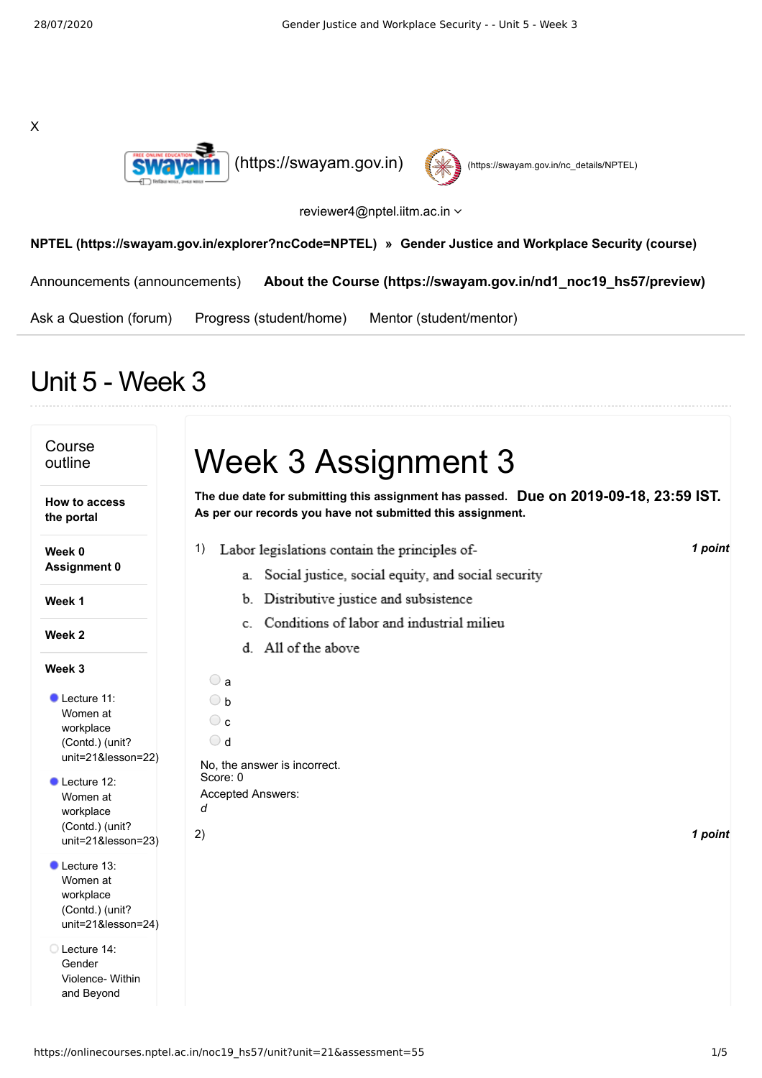X





reviewer4@nptel.iitm.ac.in

**[NPTEL \(https://swayam.gov.in/explorer?ncCode=NPTEL\)](https://swayam.gov.in/explorer?ncCode=NPTEL) » [Gender Justice and Workplace Security \(course\)](https://onlinecourses.nptel.ac.in/noc19_hs57/course)**

[Announcements \(announcements\)](https://onlinecourses.nptel.ac.in/noc19_hs57/announcements) **[About the Course \(https://swayam.gov.in/nd1\\_noc19\\_hs57/preview\)](https://swayam.gov.in/nd1_noc19_hs57/preview)**

[Ask a Question \(forum\)](https://onlinecourses.nptel.ac.in/noc19_hs57/forum) [Progress \(student/home\)](https://onlinecourses.nptel.ac.in/noc19_hs57/student/home) [Mentor \(student/mentor\)](https://onlinecourses.nptel.ac.in/noc19_hs57/student/mentor)

## Unit 5 - Week 3

| Course<br>outline<br>How to access<br>the portal                                                                                                                         | Week 3 Assignment 3<br>The due date for submitting this assignment has passed. Due on 2019-09-18, 23:59 IST.<br>As per our records you have not submitted this assignment.                                                                         |  |
|--------------------------------------------------------------------------------------------------------------------------------------------------------------------------|----------------------------------------------------------------------------------------------------------------------------------------------------------------------------------------------------------------------------------------------------|--|
| Week 0<br><b>Assignment 0</b><br>Week 1<br>Week 2                                                                                                                        | 1 point<br>Labor legislations contain the principles of-<br>1)<br>Social justice, social equity, and social security<br>a.<br>Distributive justice and subsistence<br>b.<br>Conditions of labor and industrial milieu<br>C.<br>d. All of the above |  |
| Week 3<br>Lecture 11:<br>Women at<br>workplace<br>(Contd.) (unit?<br>unit=21&lesson=22)<br>Lecture 12:<br>Women at<br>workplace<br>(Contd.) (unit?<br>unit=21&lesson=23) | $\bigcirc$ a<br>$\bigcirc$ b<br>$\circ$ c<br>$\bigcirc$ d<br>No. the answer is incorrect.<br>Score: 0<br><b>Accepted Answers:</b><br>d<br>2)<br>1 point                                                                                            |  |
| Lecture 13:<br>Women at<br>workplace<br>(Contd.) (unit?<br>unit=21&lesson=24)<br>Lecture 14:<br>Gender<br>Violence- Within<br>and Beyond                                 |                                                                                                                                                                                                                                                    |  |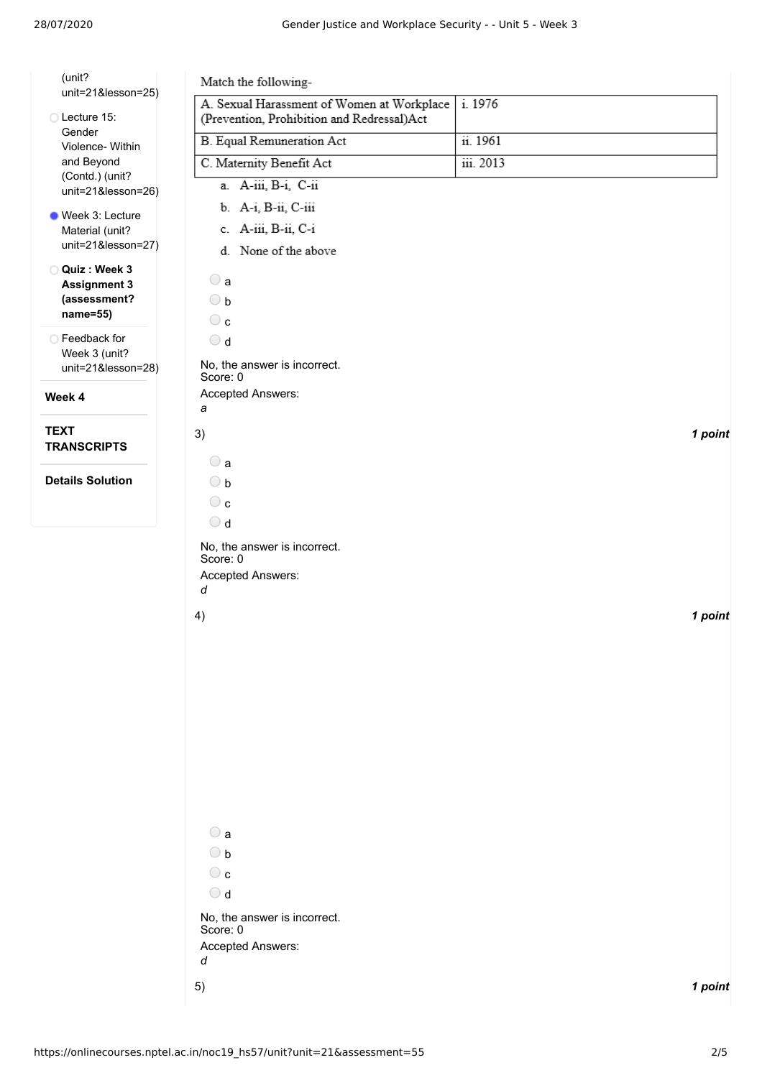| (unit?                                                          | Match the following-                                                                                          |           |
|-----------------------------------------------------------------|---------------------------------------------------------------------------------------------------------------|-----------|
| unit=21&lesson=25)<br>Lecture 15:                               | A. Sexual Harassment of Women at Workplace<br>(Prevention, Prohibition and Redressal)Act                      | i. 1976   |
| Gender<br>Violence- Within                                      | <b>B.</b> Equal Remuneration Act                                                                              | ii. 1961  |
| and Beyond                                                      | C. Maternity Benefit Act                                                                                      | iii. 2013 |
| (Contd.) (unit?<br>unit=21&lesson=26)                           | a. A-iii, B-i, C-ii                                                                                           |           |
|                                                                 | b. A-i, B-ii, C-iii                                                                                           |           |
| Week 3: Lecture<br>Material (unit?                              | c. A-iii, B-ii, C-i                                                                                           |           |
| unit=21&lesson=27)                                              | d. None of the above                                                                                          |           |
| Quiz: Week 3<br><b>Assignment 3</b><br>(assessment?<br>name=55) | $\bigcirc$ a<br>$\bigcirc$ b<br>$\circ$                                                                       |           |
| ○ Feedback for<br>Week 3 (unit?<br>unit=21&lesson=28)           | $\bigcirc$ d<br>No, the answer is incorrect.<br>Score: 0                                                      |           |
| Week 4                                                          | Accepted Answers:<br>а                                                                                        |           |
| <b>TEXT</b><br><b>TRANSCRIPTS</b>                               | 3)<br>$\bigcirc$ a                                                                                            | 1 point   |
| <b>Details Solution</b>                                         | $\bigcirc$ b<br>$\circ$<br>$\bigcirc$ d                                                                       |           |
|                                                                 | No, the answer is incorrect.<br>Score: 0<br>Accepted Answers:<br>d                                            |           |
|                                                                 | 4)<br>$\bigcirc$ a                                                                                            | 1 point   |
|                                                                 | $\bigcirc$ b<br>$\circ$<br>$\bigcirc$ d<br>No, the answer is incorrect.<br>Score: 0<br>Accepted Answers:<br>d |           |
|                                                                 | 5)                                                                                                            | 1 point   |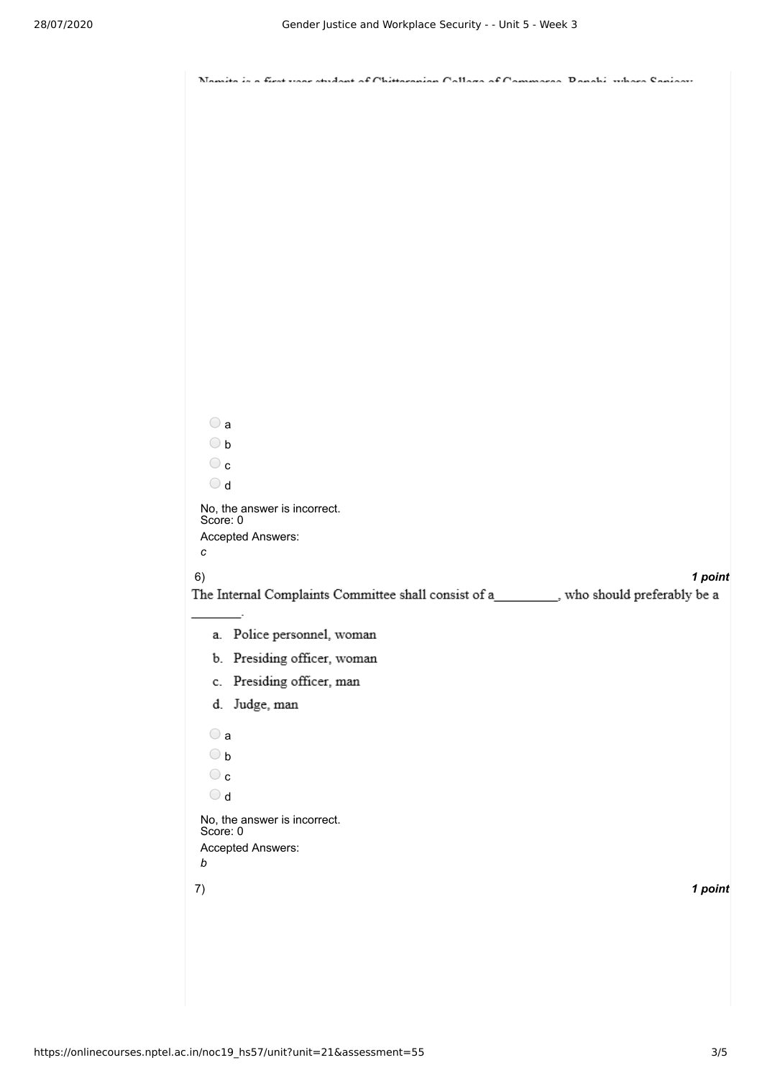| $\bigcirc$ a<br>$\bigcirc$ b<br>$\circ$ c<br>$\bigcirc$ d<br>No, the answer is incorrect.<br>Score: 0<br>Accepted Answers: |
|----------------------------------------------------------------------------------------------------------------------------|
|                                                                                                                            |
|                                                                                                                            |
|                                                                                                                            |
|                                                                                                                            |
|                                                                                                                            |
|                                                                                                                            |
|                                                                                                                            |
|                                                                                                                            |
|                                                                                                                            |
|                                                                                                                            |
|                                                                                                                            |
|                                                                                                                            |
|                                                                                                                            |
|                                                                                                                            |
|                                                                                                                            |
|                                                                                                                            |
|                                                                                                                            |
|                                                                                                                            |
|                                                                                                                            |
|                                                                                                                            |
| с                                                                                                                          |
| 1 point<br>6)                                                                                                              |
| The Internal Complaints Committee shall consist of a__________, who should preferably be a                                 |
| a. Police personnel, woman                                                                                                 |
| b. Presiding officer, woman                                                                                                |
| c. Presiding officer, man                                                                                                  |
| d. Judge, man                                                                                                              |
|                                                                                                                            |
| $\bigcirc$ a                                                                                                               |
| $\bigcirc$ b<br>$\circ$                                                                                                    |
| $\bigcirc$ d                                                                                                               |
| No, the answer is incorrect.                                                                                               |
| Score: 0                                                                                                                   |
| Accepted Answers:<br>b                                                                                                     |
| 1 point                                                                                                                    |
| 7)                                                                                                                         |
|                                                                                                                            |
|                                                                                                                            |
|                                                                                                                            |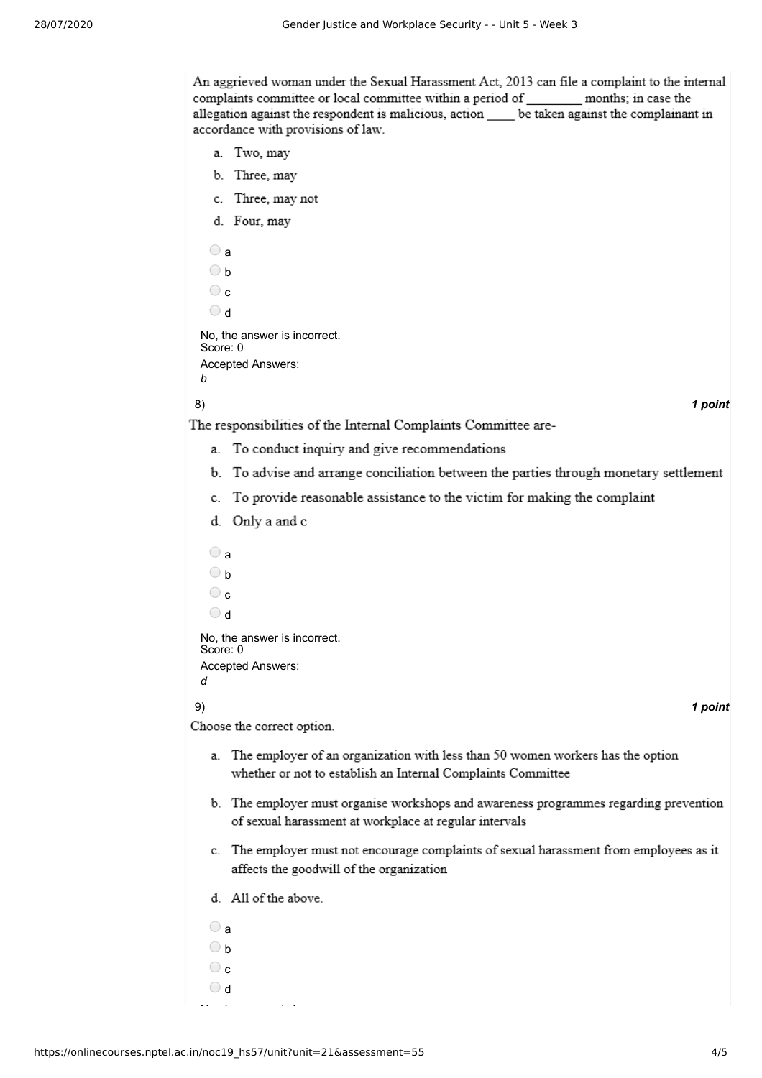An aggrieved woman under the Sexual Harassment Act, 2013 can file a complaint to the internal complaints committee or local committee within a period of \_\_\_\_\_\_\_\_\_ months; in case the allegation against the respondent is malicious, action be taken against the complainant in accordance with provisions of law.

- a. Two, may
- b. Three, may
- c. Three, may not
- d. Four, may

```
\bigcirc a
 \bigcirc b
 \odot c
 d
No, the answer is incorrect.
Score: 0
Accepted Answers:
b
```
8) *1 point*

The responsibilities of the Internal Complaints Committee are-

- a. To conduct inquiry and give recommendations
- b. To advise and arrange conciliation between the parties through monetary settlement
- c. To provide reasonable assistance to the victim for making the complaint
- d. Only a and c
- $\bigcirc$  a  $\bigcirc$  b  $\circ$  c  $\bigcirc$  d No, the answer is incorrect. Score: 0 Accepted Answers: *d* 9) *1 point* Choose the correct option. a. The employer of an organization with less than 50 women workers has the option whether or not to establish an Internal Complaints Committee b. The employer must organise workshops and awareness programmes regarding prevention of sexual harassment at workplace at regular intervals c. The employer must not encourage complaints of sexual harassment from employees as it affects the goodwill of the organization d. All of the above.  $\bigcirc$  a  $\bigcirc$  b  $\circ$

N h i i

 $\bigcirc$  d